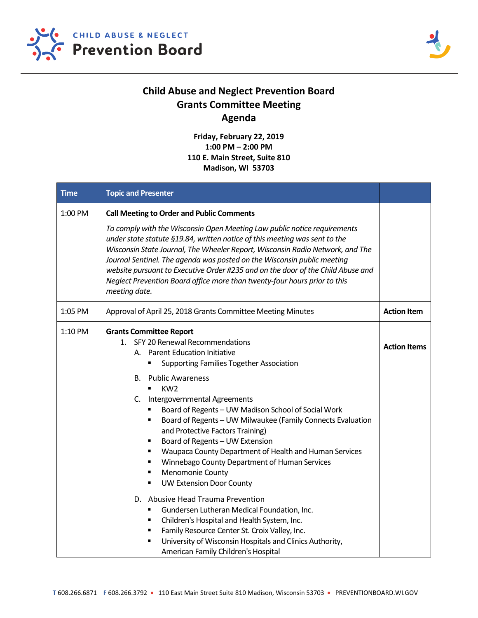



## **Child Abuse and Neglect Prevention Board Grants Committee Meeting Agenda**

**Friday, February 22, 2019 1:00 PM – 2:00 PM 110 E. Main Street, Suite 810 Madison, WI 53703**

| <b>Time</b> | <b>Topic and Presenter</b>                                                                                                                                                                                                                                                                                                                                                                                                                                                                                                                                                                                                                                                  |                     |
|-------------|-----------------------------------------------------------------------------------------------------------------------------------------------------------------------------------------------------------------------------------------------------------------------------------------------------------------------------------------------------------------------------------------------------------------------------------------------------------------------------------------------------------------------------------------------------------------------------------------------------------------------------------------------------------------------------|---------------------|
| 1:00 PM     | <b>Call Meeting to Order and Public Comments</b><br>To comply with the Wisconsin Open Meeting Law public notice requirements<br>under state statute §19.84, written notice of this meeting was sent to the<br>Wisconsin State Journal, The Wheeler Report, Wisconsin Radio Network, and The<br>Journal Sentinel. The agenda was posted on the Wisconsin public meeting<br>website pursuant to Executive Order #235 and on the door of the Child Abuse and<br>Neglect Prevention Board office more than twenty-four hours prior to this<br>meeting date.                                                                                                                     |                     |
| 1:05 PM     | Approval of April 25, 2018 Grants Committee Meeting Minutes                                                                                                                                                                                                                                                                                                                                                                                                                                                                                                                                                                                                                 | <b>Action Item</b>  |
| 1:10 PM     | <b>Grants Committee Report</b><br>1. SFY 20 Renewal Recommendations<br>A. Parent Education Initiative<br><b>Supporting Families Together Association</b><br>٠<br><b>Public Awareness</b><br>В.<br>KW <sub>2</sub><br>$\blacksquare$<br>C.<br>Intergovernmental Agreements<br>Board of Regents - UW Madison School of Social Work<br>٠<br>Board of Regents - UW Milwaukee (Family Connects Evaluation<br>٠<br>and Protective Factors Training)<br>Board of Regents - UW Extension<br>٠<br>Waupaca County Department of Health and Human Services<br>٠<br>Winnebago County Department of Human Services<br>٠<br>Menomonie County<br>٠<br><b>UW Extension Door County</b><br>٠ | <b>Action Items</b> |
|             | D. Abusive Head Trauma Prevention<br>Gundersen Lutheran Medical Foundation, Inc.<br>٠<br>Children's Hospital and Health System, Inc.<br>٠<br>Family Resource Center St. Croix Valley, Inc.<br>٠<br>University of Wisconsin Hospitals and Clinics Authority,<br>٠<br>American Family Children's Hospital                                                                                                                                                                                                                                                                                                                                                                     |                     |